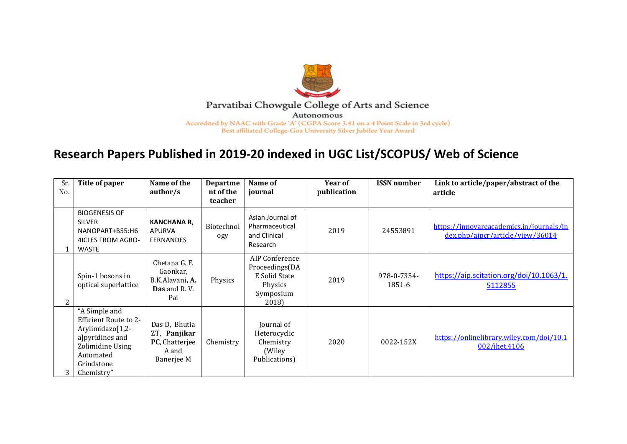

## Parvatibai Chowgule College of Arts and Science Autonomous

Accredited by NAAC with Grade 'A' (CGPA Score 3.41 on a 4 Point Scale in 3rd cycle) Best affiliated College-Goa University Silver Jubilee Year Award

## **Research Papers Published in 2019-20 indexed in UGC List/SCOPUS/ Web of Science**

| Sr.<br>No. | Title of paper                                                                                                                                    | Name of the<br>author/s                                                    | <b>Departme</b><br>nt of the<br>teacher | Name of<br>journal                                                                 | Year of<br>publication | <b>ISSN</b> number    | Link to article/paper/abstract of the<br>article                             |
|------------|---------------------------------------------------------------------------------------------------------------------------------------------------|----------------------------------------------------------------------------|-----------------------------------------|------------------------------------------------------------------------------------|------------------------|-----------------------|------------------------------------------------------------------------------|
|            | <b>BIOGENESIS OF</b><br><b>SILVER</b><br>NANOPART+B55:H6<br>4ICLES FROM AGRO-<br><b>WASTE</b>                                                     | <b>KANCHANA R.</b><br><b>APURVA</b><br><b>FERNANDES</b>                    | Biotechnol<br>ogy                       | Asian Journal of<br>Pharmaceutical<br>and Clinical<br>Research                     | 2019                   | 24553891              | https://innovareacademics.in/journals/in<br>dex.php/ajpcr/article/view/36014 |
| 2          | Spin-1 bosons in<br>optical superlattice                                                                                                          | Chetana G. F.<br>Gaonkar,<br>B.K.Alavani, A.<br><b>Das</b> and R.V.<br>Pai | Physics                                 | AIP Conference<br>Proceedings(DA<br>E Solid State<br>Physics<br>Symposium<br>2018) | 2019                   | 978-0-7354-<br>1851-6 | https://aip.scitation.org/doi/10.1063/1.<br>5112855                          |
| 3          | "A Simple and<br><b>Efficient Route to 2-</b><br>Arylimidazo[1,2-<br>alpyridines and<br>Zolimidine Using<br>Automated<br>Grindstone<br>Chemistry" | Das D, Bhutia<br>ZT, Panjikar<br>PC, Chatterjee<br>A and<br>Banerjee M     | Chemistry                               | Journal of<br>Heterocyclic<br>Chemistry<br>(Wiley<br>Publications)                 | 2020                   | 0022-152X             | https://onlinelibrary.wiley.com/doi/10.1<br>002/jhet.4106                    |